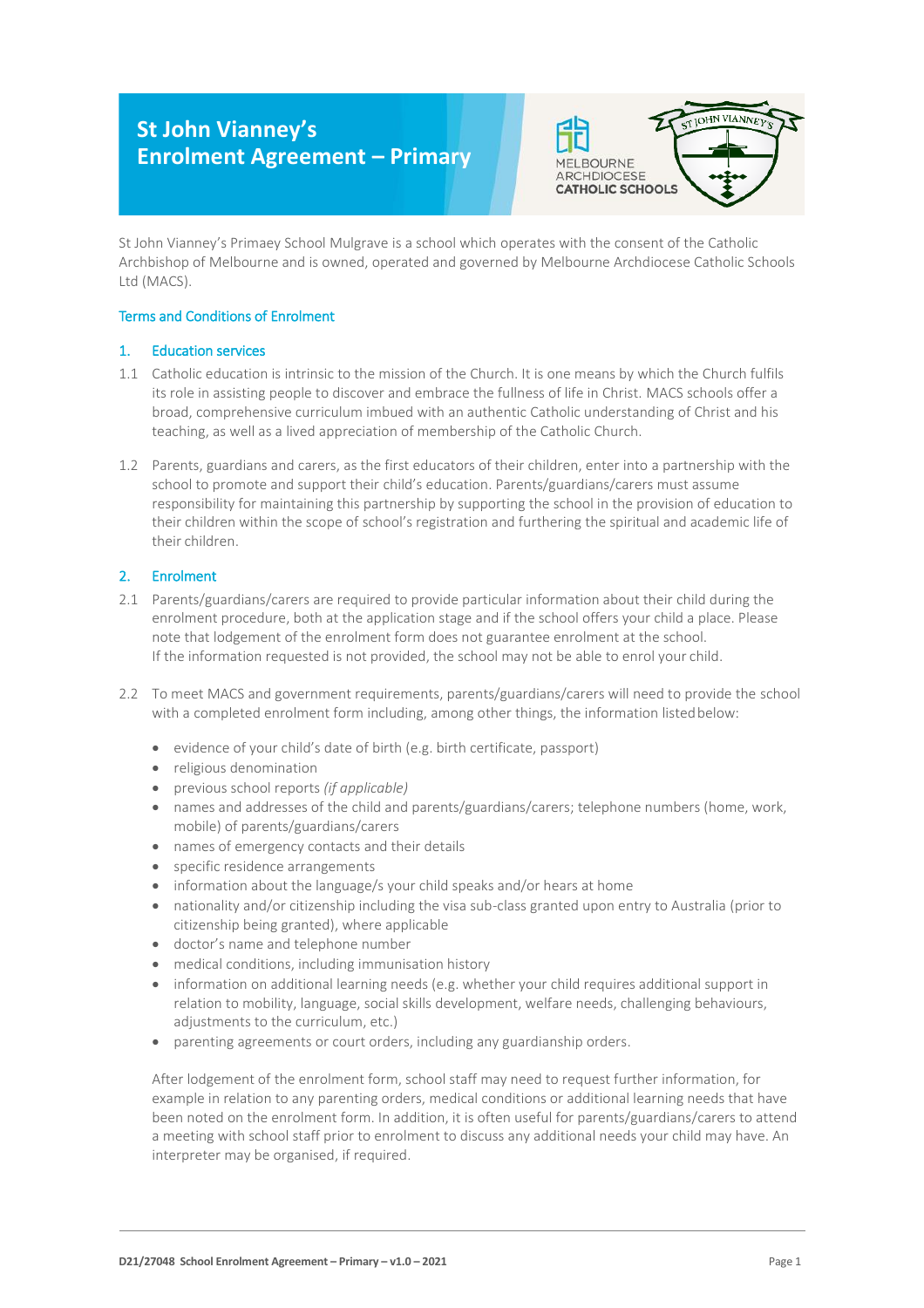# **St John Vianney's Enrolment Agreement – Primary**



St John Vianney's Primaey School Mulgrave is a school which operates with the consent of the Catholic Archbishop of Melbourne and is owned, operated and governed by Melbourne Archdiocese Catholic Schools Ltd (MACS).

# Terms and Conditions of Enrolment

# 1. Education services

- 1.1 Catholic education is intrinsic to the mission of the Church. It is one means by which the Church fulfils its role in assisting people to discover and embrace the fullness of life in Christ. MACS schools offer a broad, comprehensive curriculum imbued with an authentic Catholic understanding of Christ and his teaching, as well as a lived appreciation of membership of the Catholic Church.
- 1.2 Parents, guardians and carers, as the first educators of their children, enter into a partnership with the school to promote and support their child's education. Parents/guardians/carers must assume responsibility for maintaining this partnership by supporting the school in the provision of education to their children within the scope of school's registration and furthering the spiritual and academic life of their children.

# 2. Enrolment

- 2.1 Parents/guardians/carers are required to provide particular information about their child during the enrolment procedure, both at the application stage and if the school offers your child a place. Please note that lodgement of the enrolment form does not guarantee enrolment at the school. If the information requested is not provided, the school may not be able to enrol your child.
- 2.2 To meet MACS and government requirements, parents/guardians/carers will need to provide the school with a completed enrolment form including, among other things, the information listed below:
	- evidence of your child's date of birth (e.g. birth certificate, passport)
	- religious denomination
	- previous school reports *(if applicable)*
	- names and addresses of the child and parents/guardians/carers; telephone numbers (home, work, mobile) of parents/guardians/carers
	- names of emergency contacts and their details
	- specific residence arrangements
	- information about the language/s your child speaks and/or hears at home
	- nationality and/or citizenship including the visa sub-class granted upon entry to Australia (prior to citizenship being granted), where applicable
	- doctor's name and telephone number
	- medical conditions, including immunisation history
	- information on additional learning needs (e.g. whether your child requires additional support in relation to mobility, language, social skills development, welfare needs, challenging behaviours, adjustments to the curriculum, etc.)
	- parenting agreements or court orders, including any guardianship orders.

After lodgement of the enrolment form, school staff may need to request further information, for example in relation to any parenting orders, medical conditions or additional learning needs that have been noted on the enrolment form. In addition, it is often useful for parents/guardians/carers to attend a meeting with school staff prior to enrolment to discuss any additional needs your child may have. An interpreter may be organised, if required.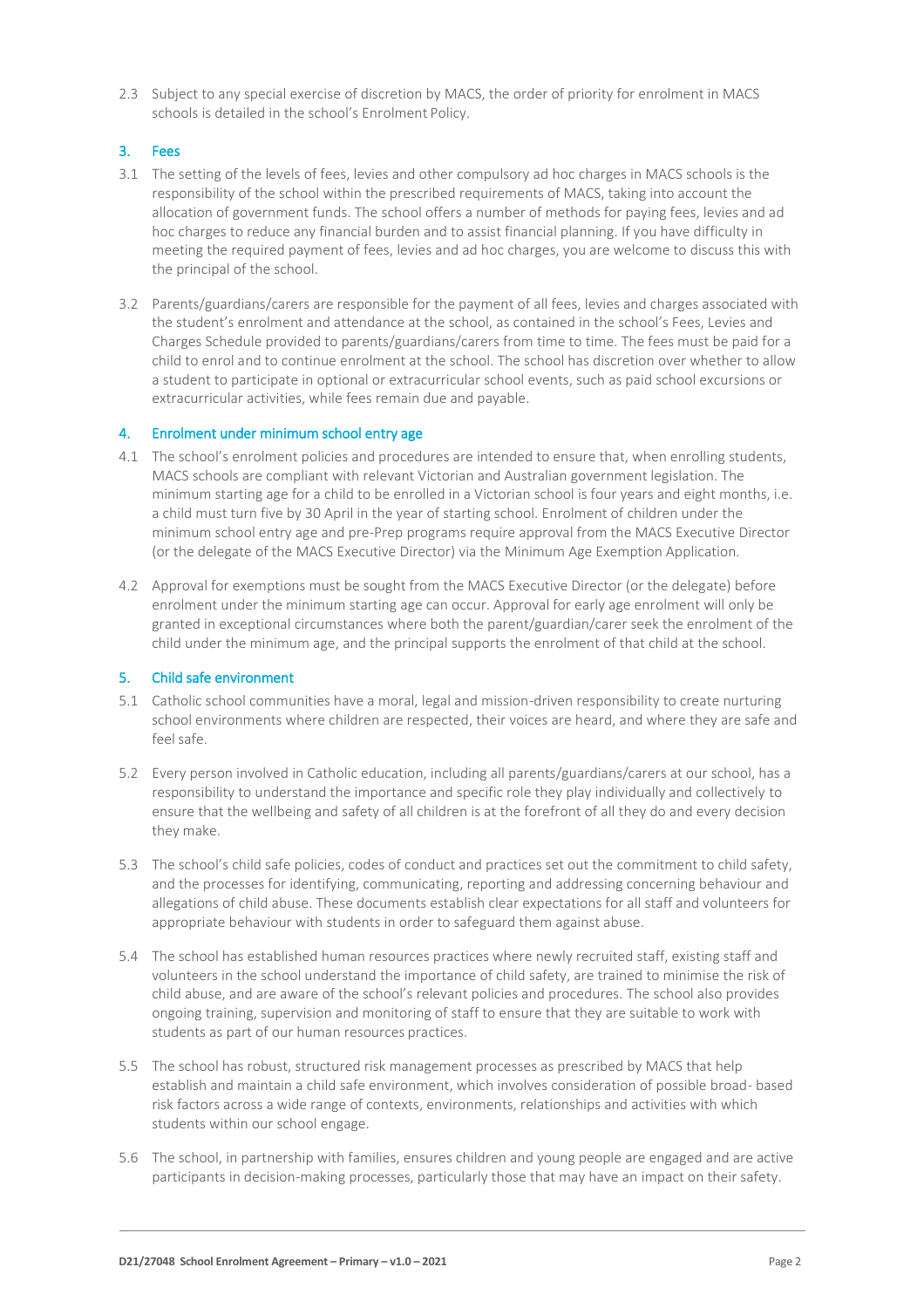2.3 Subject to any special exercise of discretion by MACS, the order of priority for enrolment in MACS schools is detailed in the school's Enrolment Policy.

# 3. Fees

- 3.1 The setting of the levels of fees, levies and other compulsory ad hoc charges in MACS schools is the responsibility of the school within the prescribed requirements of MACS, taking into account the allocation of government funds. The school offers a number of methods for paying fees, levies and ad hoc charges to reduce any financial burden and to assist financial planning. If you have difficulty in meeting the required payment of fees, levies and ad hoc charges, you are welcome to discuss this with the principal of the school.
- 3.2 Parents/guardians/carers are responsible for the payment of all fees, levies and charges associated with the student's enrolment and attendance at the school, as contained in the school's Fees, Levies and Charges Schedule provided to parents/guardians/carers from time to time. The fees must be paid for a child to enrol and to continue enrolment at the school. The school has discretion over whether to allow a student to participate in optional or extracurricular school events, such as paid school excursions or extracurricular activities, while fees remain due and payable.

#### 4. Enrolment under minimum school entry age

- 4.1 The school's enrolment policies and procedures are intended to ensure that, when enrolling students, MACS schools are compliant with relevant Victorian and Australian government legislation. The minimum starting age for a child to be enrolled in a Victorian school is four years and eight months, i.e. a child must turn five by 30 April in the year of starting school. Enrolment of children under the minimum school entry age and pre-Prep programs require approval from the MACS Executive Director (or the delegate of the MACS Executive Director) via the Minimum Age Exemption Application*.*
- 4.2 Approval for exemptions must be sought from the MACS Executive Director (or the delegate) before enrolment under the minimum starting age can occur. Approval for early age enrolment will only be granted in exceptional circumstances where both the parent/guardian/carer seek the enrolment of the child under the minimum age, and the principal supports the enrolment of that child at the school.

#### 5. Child safe environment

- 5.1 Catholic school communities have a moral, legal and mission-driven responsibility to create nurturing school environments where children are respected, their voices are heard, and where they are safe and feelsafe.
- 5.2 Every person involved in Catholic education, including all parents/guardians/carers at our school, has a responsibility to understand the importance and specific role they play individually and collectively to ensure that the wellbeing and safety of all children is at the forefront of all they do and every decision they make.
- 5.3 The school's child safe policies, codes of conduct and practices set out the commitment to child safety, and the processes for identifying, communicating, reporting and addressing concerning behaviour and allegations of child abuse. These documents establish clear expectations for all staff and volunteers for appropriate behaviour with students in order to safeguard them against abuse.
- 5.4 The school has established human resources practices where newly recruited staff, existing staff and volunteers in the school understand the importance of child safety, are trained to minimise the risk of child abuse, and are aware of the school's relevant policies and procedures. The school also provides ongoing training, supervision and monitoring of staff to ensure that they are suitable to work with students as part of our human resources practices.
- 5.5 The school has robust, structured risk management processes as prescribed by MACS that help establish and maintain a child safe environment, which involves consideration of possible broad- based risk factors across a wide range of contexts, environments, relationships and activities with which students within our school engage.
- 5.6 The school, in partnership with families, ensures children and young people are engaged and are active participants in decision-making processes, particularly those that may have an impact on their safety.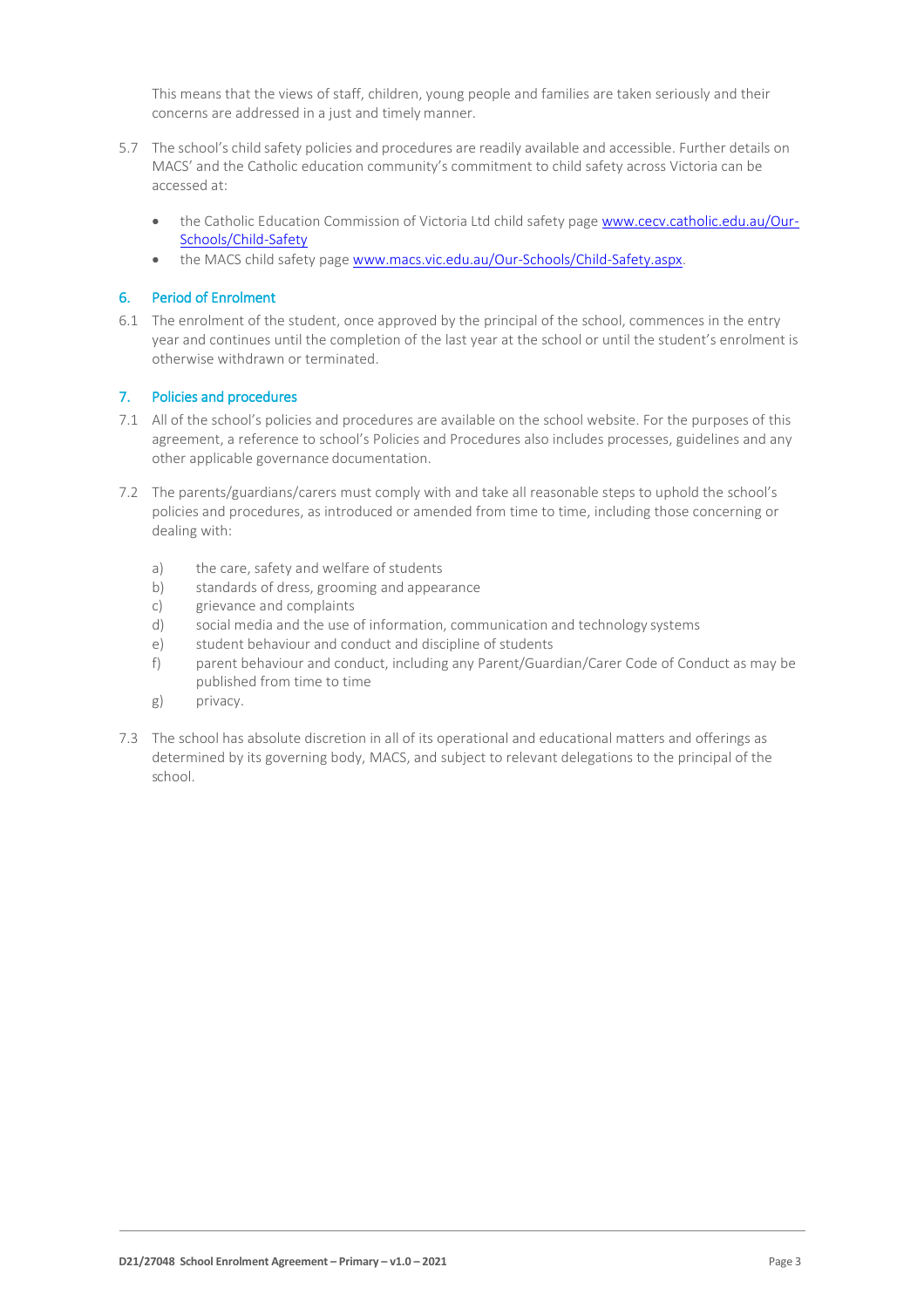This means that the views of staff, children, young people and families are taken seriously and their concerns are addressed in a just and timely manner.

- 5.7 The school's child safety policies and procedures are readily available and accessible. Further details on MACS' and the Catholic education community's commitment to child safety across Victoria can be accessed at:
	- the Catholic Education Commission of Victoria Ltd child safety page [www.cecv.catholic.edu.au/Our-](http://www.cecv.catholic.edu.au/Our-Schools/Child-Safety)[Schools/Child-Safety](http://www.cecv.catholic.edu.au/Our-Schools/Child-Safety)
	- the MACS child safety page [www.macs.vic.edu.au/Our-Schools/Child-Safety.aspx.](http://www.macs.vic.edu.au/Our-Schools/Child-Safety.aspx)

# 6. Period of Enrolment

6.1 The enrolment of the student, once approved by the principal of the school, commences in the entry year and continues until the completion of the last year at the school or until the student's enrolment is otherwise withdrawn or terminated.

# 7. Policies and procedures

- 7.1 All of the school's policies and procedures are available on the school website. For the purposes of this agreement, a reference to school's Policies and Procedures also includes processes, guidelines and any other applicable governance documentation.
- 7.2 The parents/guardians/carers must comply with and take all reasonable steps to uphold the school's policies and procedures, as introduced or amended from time to time, including those concerning or dealing with:
	- a) the care, safety and welfare of students
	- b) standards of dress, grooming and appearance
	- c) grievance and complaints
	- d) social media and the use of information, communication and technology systems
	- e) student behaviour and conduct and discipline of students
	- f) parent behaviour and conduct, including any Parent/Guardian/Carer Code of Conduct as may be published from time to time
	- g) privacy.
- 7.3 The school has absolute discretion in all of its operational and educational matters and offerings as determined by its governing body, MACS, and subject to relevant delegations to the principal of the school.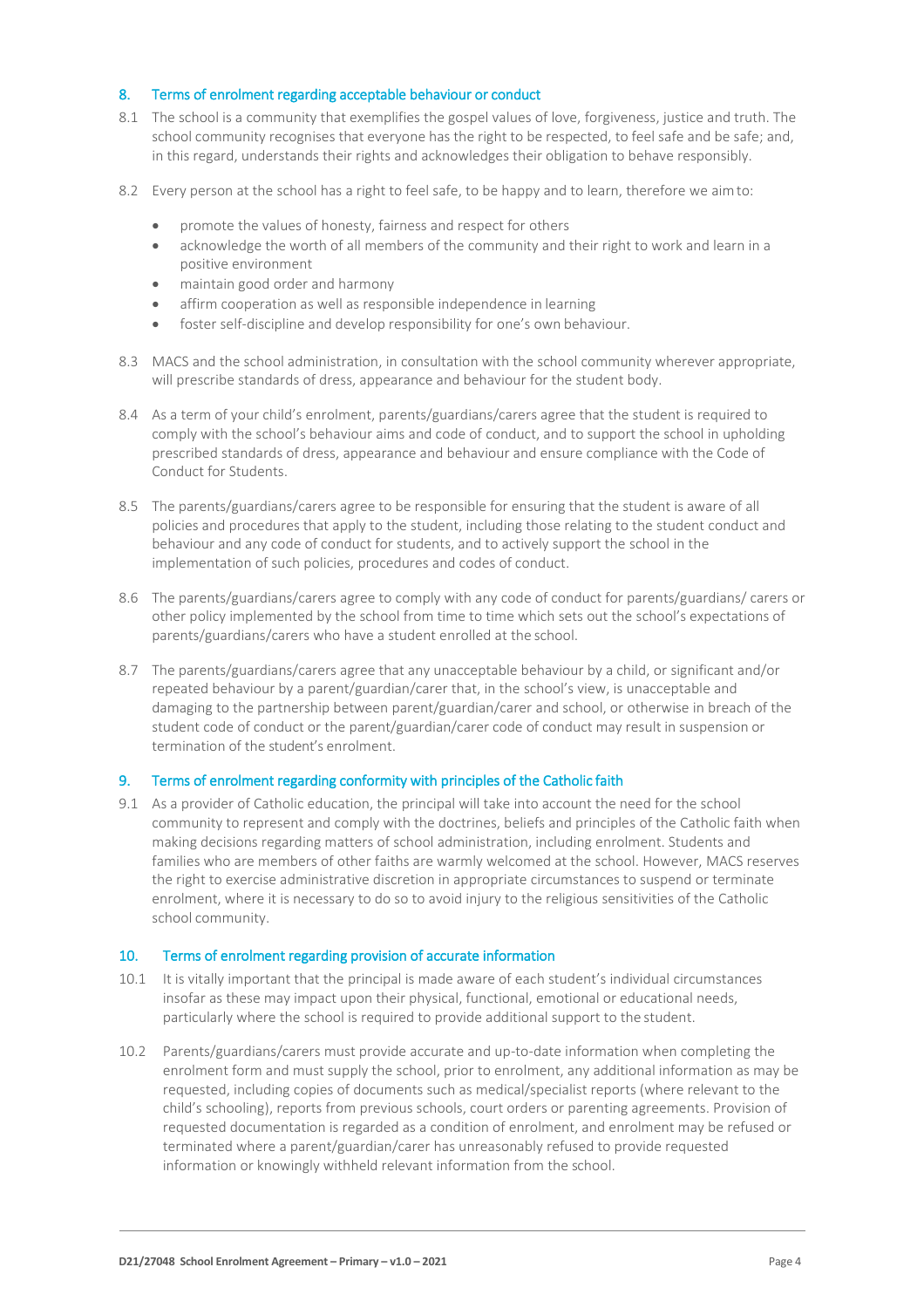## 8. Terms of enrolment regarding acceptable behaviour or conduct

- 8.1 The school is a community that exemplifies the gospel values of love, forgiveness, justice and truth. The school community recognises that everyone has the right to be respected, to feel safe and be safe; and, in this regard, understands their rights and acknowledges their obligation to behave responsibly.
- 8.2 Every person at the school has a right to feel safe, to be happy and to learn, therefore we aimto:
	- promote the values of honesty, fairness and respect for others
	- acknowledge the worth of all members of the community and their right to work and learn in a positive environment
	- maintain good order and harmony
	- affirm cooperation as well as responsible independence in learning
	- foster self-discipline and develop responsibility for one's own behaviour.
- 8.3 MACS and the school administration, in consultation with the school community wherever appropriate, will prescribe standards of dress, appearance and behaviour for the student body.
- 8.4 As a term of your child's enrolment, parents/guardians/carers agree that the student is required to comply with the school's behaviour aims and code of conduct, and to support the school in upholding prescribed standards of dress, appearance and behaviour and ensure compliance with the Code of Conduct for Students.
- 8.5 The parents/guardians/carers agree to be responsible for ensuring that the student is aware of all policies and procedures that apply to the student, including those relating to the student conduct and behaviour and any code of conduct for students, and to actively support the school in the implementation of such policies, procedures and codes of conduct.
- 8.6 The parents/guardians/carers agree to comply with any code of conduct for parents/guardians/ carers or other policy implemented by the school from time to time which sets out the school's expectations of parents/guardians/carers who have a student enrolled at the school.
- 8.7 The parents/guardians/carers agree that any unacceptable behaviour by a child, or significant and/or repeated behaviour by a parent/guardian/carer that, in the school's view, is unacceptable and damaging to the partnership between parent/guardian/carer and school, or otherwise in breach of the student code of conduct or the parent/guardian/carer code of conduct may result in suspension or termination of the student's enrolment.

#### 9. Terms of enrolment regarding conformity with principles of the Catholic faith

9.1 As a provider of Catholic education, the principal will take into account the need for the school community to represent and comply with the doctrines, beliefs and principles of the Catholic faith when making decisions regarding matters of school administration, including enrolment. Students and families who are members of other faiths are warmly welcomed at the school. However, MACS reserves the right to exercise administrative discretion in appropriate circumstances to suspend or terminate enrolment, where it is necessary to do so to avoid injury to the religious sensitivities of the Catholic school community.

#### 10. Terms of enrolment regarding provision of accurate information

- 10.1 It is vitally important that the principal is made aware of each student's individual circumstances insofar as these may impact upon their physical, functional, emotional or educational needs, particularly where the school is required to provide additional support to the student.
- 10.2 Parents/guardians/carers must provide accurate and up-to-date information when completing the enrolment form and must supply the school, prior to enrolment, any additional information as may be requested, including copies of documents such as medical/specialist reports (where relevant to the child's schooling), reports from previous schools, court orders or parenting agreements. Provision of requested documentation is regarded as a condition of enrolment, and enrolment may be refused or terminated where a parent/guardian/carer has unreasonably refused to provide requested information or knowingly withheld relevant information from the school.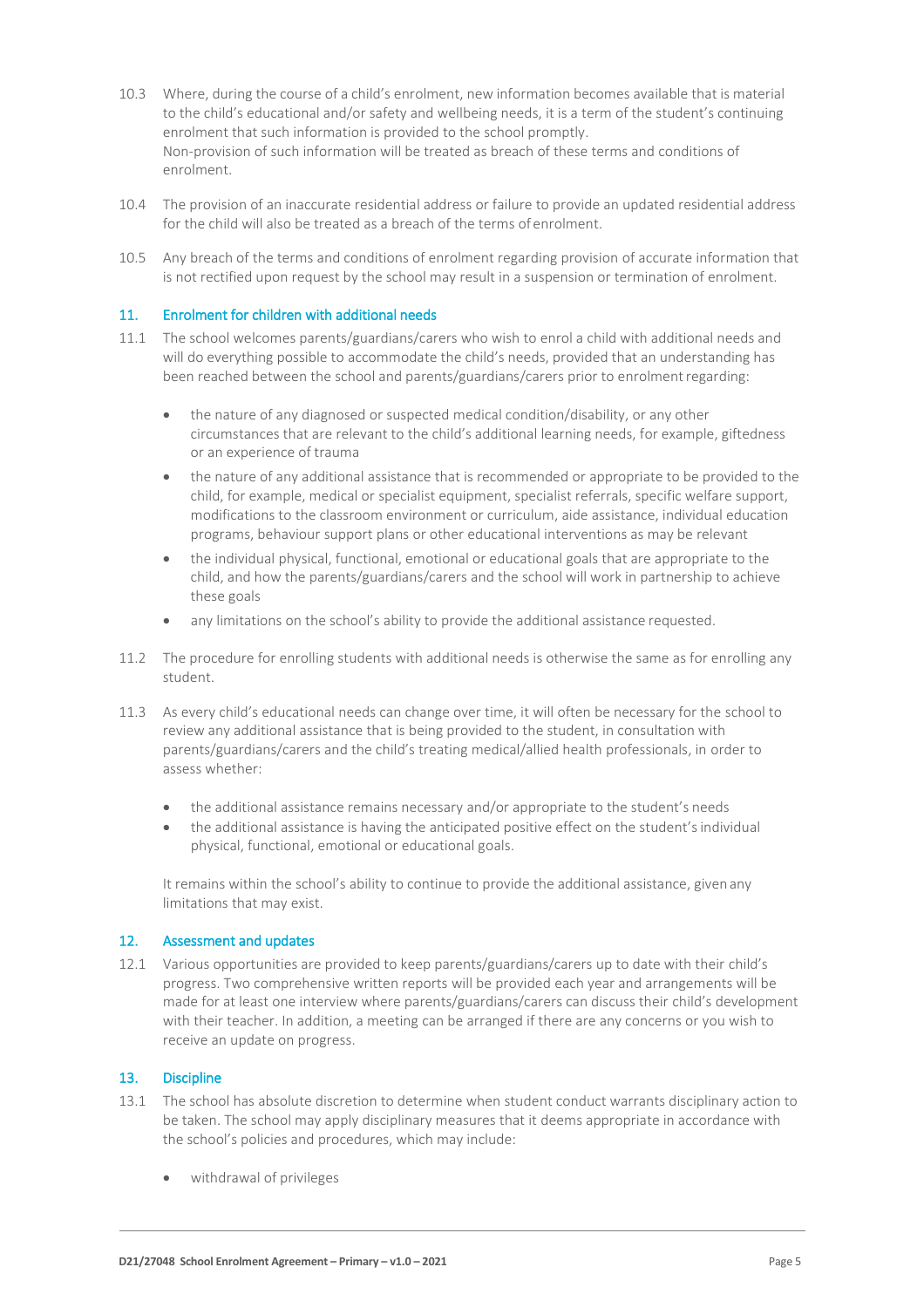- 10.3 Where, during the course of a child's enrolment, new information becomes available that is material to the child's educational and/or safety and wellbeing needs, it is a term of the student's continuing enrolment that such information is provided to the school promptly. Non-provision of such information will be treated as breach of these terms and conditions of enrolment.
- 10.4 The provision of an inaccurate residential address or failure to provide an updated residential address for the child will also be treated as a breach of the terms of enrolment.
- 10.5 Any breach of the terms and conditions of enrolment regarding provision of accurate information that is not rectified upon request by the school may result in a suspension or termination of enrolment.

### 11. Enrolment for children with additional needs

- 11.1 The school welcomes parents/guardians/carers who wish to enrol a child with additional needs and will do everything possible to accommodate the child's needs, provided that an understanding has been reached between the school and parents/guardians/carers prior to enrolmentregarding:
	- the nature of any diagnosed or suspected medical condition/disability, or any other circumstances that are relevant to the child's additional learning needs, for example, giftedness or an experience of trauma
	- the nature of any additional assistance that is recommended or appropriate to be provided to the child, for example, medical or specialist equipment, specialist referrals, specific welfare support, modifications to the classroom environment or curriculum, aide assistance, individual education programs, behaviour support plans or other educational interventions as may be relevant
	- the individual physical, functional, emotional or educational goals that are appropriate to the child, and how the parents/guardians/carers and the school will work in partnership to achieve these goals
	- any limitations on the school's ability to provide the additional assistance requested.
- 11.2 The procedure for enrolling students with additional needs is otherwise the same as for enrolling any student.
- 11.3 As every child's educational needs can change over time, it will often be necessary for the school to review any additional assistance that is being provided to the student, in consultation with parents/guardians/carers and the child's treating medical/allied health professionals, in order to assess whether:
	- the additional assistance remains necessary and/or appropriate to the student's needs
	- the additional assistance is having the anticipated positive effect on the student'sindividual physical, functional, emotional or educational goals.

It remains within the school's ability to continue to provide the additional assistance, given any limitations that may exist.

#### 12. Assessment and updates

12.1 Various opportunities are provided to keep parents/guardians/carers up to date with their child's progress. Two comprehensive written reports will be provided each year and arrangements will be made for at least one interview where parents/guardians/carers can discuss their child's development with their teacher. In addition, a meeting can be arranged if there are any concerns or you wish to receive an update on progress.

# 13. Discipline

- 13.1 The school has absolute discretion to determine when student conduct warrants disciplinary action to be taken. The school may apply disciplinary measures that it deems appropriate in accordance with the school's policies and procedures, which may include:
	- withdrawal of privileges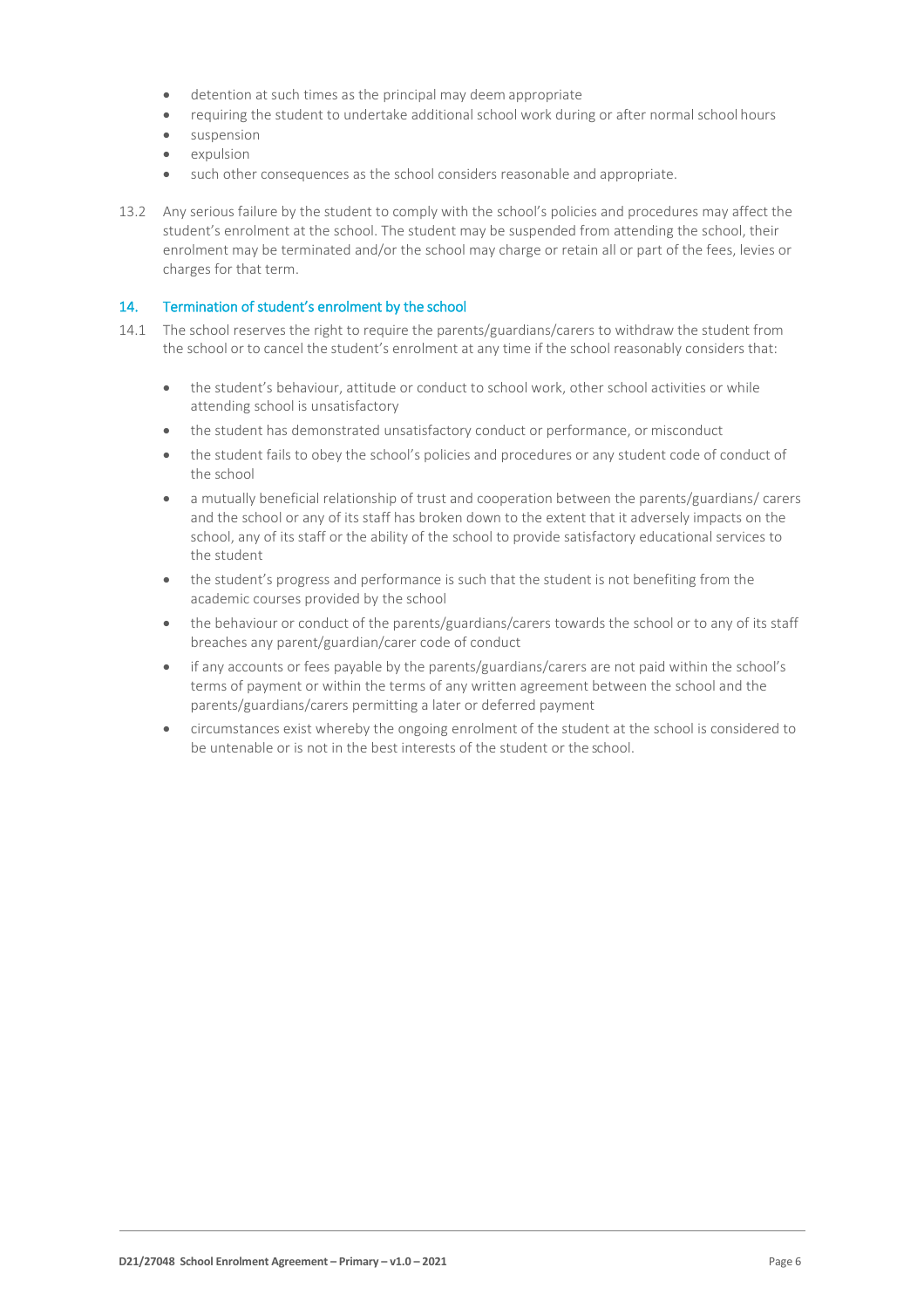- detention at such times as the principal may deem appropriate
- requiring the student to undertake additional school work during or after normal school hours
- suspension
- expulsion
- such other consequences as the school considers reasonable and appropriate.
- 13.2 Any serious failure by the student to comply with the school's policies and procedures may affect the student's enrolment at the school. The student may be suspended from attending the school, their enrolment may be terminated and/or the school may charge or retain all or part of the fees, levies or charges for that term.

#### 14. Termination of student's enrolment by the school

- 14.1 The school reserves the right to require the parents/guardians/carers to withdraw the student from the school or to cancel the student's enrolment at any time if the school reasonably considers that:
	- the student's behaviour, attitude or conduct to school work, other school activities or while attending school is unsatisfactory
	- the student has demonstrated unsatisfactory conduct or performance, or misconduct
	- the student fails to obey the school's policies and procedures or any student code of conduct of the school
	- a mutually beneficial relationship of trust and cooperation between the parents/guardians/ carers and the school or any of its staff has broken down to the extent that it adversely impacts on the school, any of its staff or the ability of the school to provide satisfactory educational services to the student
	- the student's progress and performance is such that the student is not benefiting from the academic courses provided by the school
	- the behaviour or conduct of the parents/guardians/carers towards the school or to any of its staff breaches any parent/guardian/carer code of conduct
	- if any accounts or fees payable by the parents/guardians/carers are not paid within the school's terms of payment or within the terms of any written agreement between the school and the parents/guardians/carers permitting a later or deferred payment
	- circumstances exist whereby the ongoing enrolment of the student at the school is considered to be untenable or is not in the best interests of the student or the school.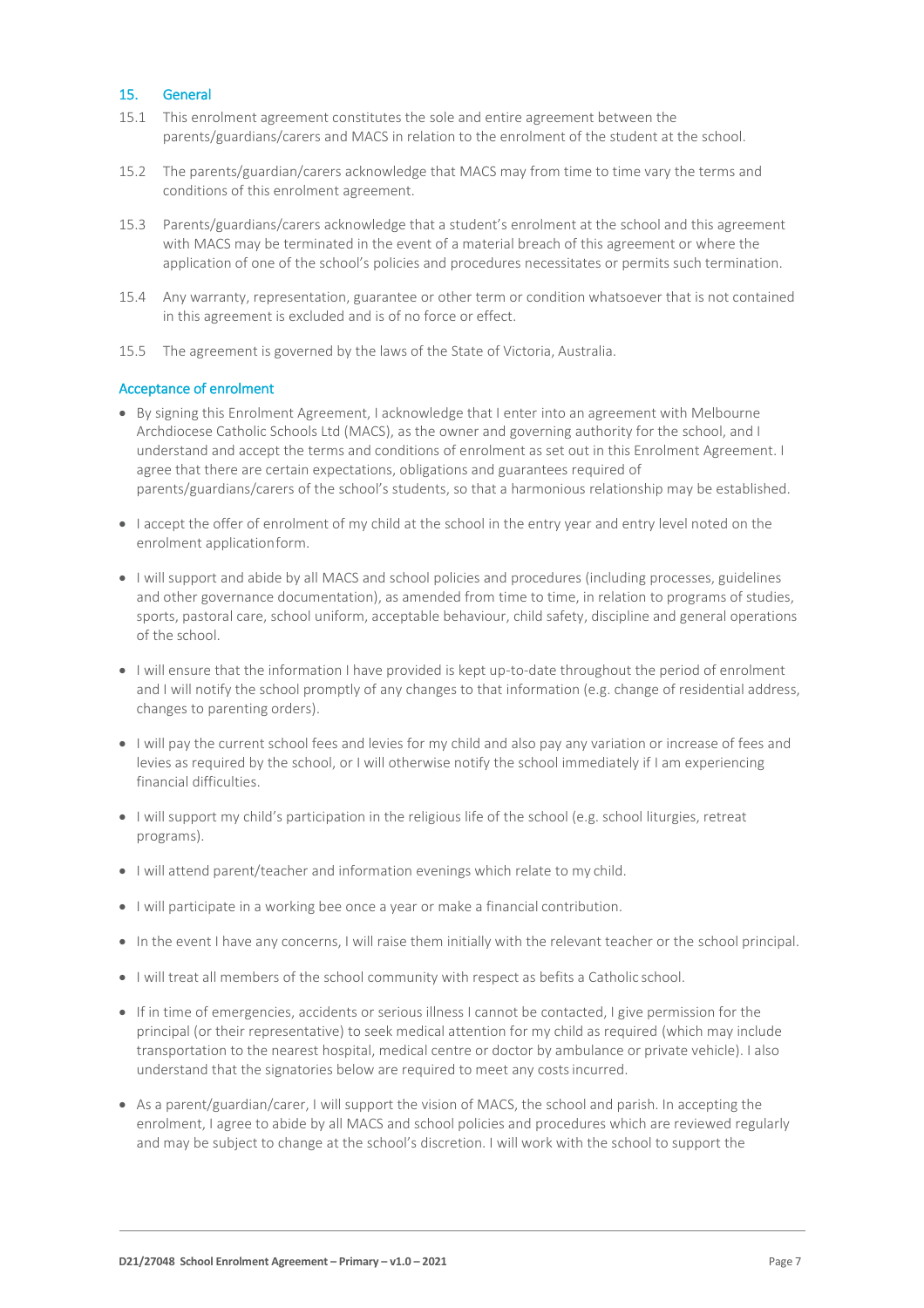# 15. General

- 15.1 This enrolment agreement constitutes the sole and entire agreement between the parents/guardians/carers and MACS in relation to the enrolment of the student at the school.
- 15.2 The parents/guardian/carers acknowledge that MACS may from time to time vary the terms and conditions of this enrolment agreement.
- 15.3 Parents/guardians/carers acknowledge that a student's enrolment at the school and this agreement with MACS may be terminated in the event of a material breach of this agreement or where the application of one of the school's policies and procedures necessitates or permits such termination.
- 15.4 Any warranty, representation, guarantee or other term or condition whatsoever that is not contained in this agreement is excluded and is of no force or effect.
- 15.5 The agreement is governed by the laws of the State of Victoria, Australia.

#### Acceptance of enrolment

- By signing this Enrolment Agreement, I acknowledge that I enter into an agreement with Melbourne Archdiocese Catholic Schools Ltd (MACS), as the owner and governing authority for the school, and I understand and accept the terms and conditions of enrolment as set out in this Enrolment Agreement. I agree that there are certain expectations, obligations and guarantees required of parents/guardians/carers of the school's students, so that a harmonious relationship may be established.
- I accept the offer of enrolment of my child at the school in the entry year and entry level noted on the enrolment applicationform.
- I will support and abide by all MACS and school policies and procedures (including processes, guidelines and other governance documentation), as amended from time to time, in relation to programs of studies, sports, pastoral care, school uniform, acceptable behaviour, child safety, discipline and general operations of the school.
- I will ensure that the information I have provided is kept up-to-date throughout the period of enrolment and I will notify the school promptly of any changes to that information (e.g. change of residential address, changes to parenting orders).
- I will pay the current school fees and levies for my child and also pay any variation or increase of fees and levies as required by the school, or I will otherwise notify the school immediately if I am experiencing financial difficulties.
- I will support my child's participation in the religious life of the school (e.g. school liturgies, retreat programs).
- I will attend parent/teacher and information evenings which relate to my child.
- I will participate in a working bee once a year or make a financial contribution.
- In the event I have any concerns, I will raise them initially with the relevant teacher or the school principal.
- $\bullet$  I will treat all members of the school community with respect as befits a Catholic school.
- If in time of emergencies, accidents or serious illness I cannot be contacted, I give permission for the principal (or their representative) to seek medical attention for my child as required (which may include transportation to the nearest hospital, medical centre or doctor by ambulance or private vehicle). I also understand that the signatories below are required to meet any costsincurred.
- As a parent/guardian/carer, I will support the vision of MACS, the school and parish. In accepting the enrolment, I agree to abide by all MACS and school policies and procedures which are reviewed regularly and may be subject to change at the school's discretion. I will work with the school to support the